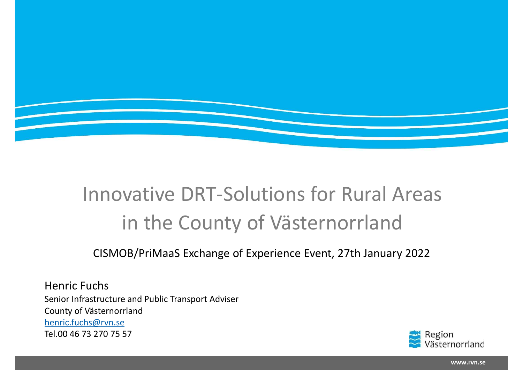

## Innovative DRT-Solutions for<br>in the County of Västerr<br>cISMOB/PriMaaS Exchange of Experience Event<br>Henric Fuchs<br>Senior Infrastructure and Public Transport Adviser<br>County of Västernorrland<br>Nenric.fuchs@rvn.se<br>Tel.00 46 73 27 Innovative DRT-Solutions for Rural Areas

Henric Fuchs Innovative DRT-Solution<br>in the County of Vä<br>cISMOB/PriMaaS Exchange of Experien<br>Henric Fuchs<br>Senior Infrastructure and Public Transport Adviser<br>County of Västernorrland<br>henric.fuchs@rvn.se<br>Tel.00 46 73 270 75 57 henric.fuchs@rvn.se Tel.00 46 73 270 75 57



www.rvn.se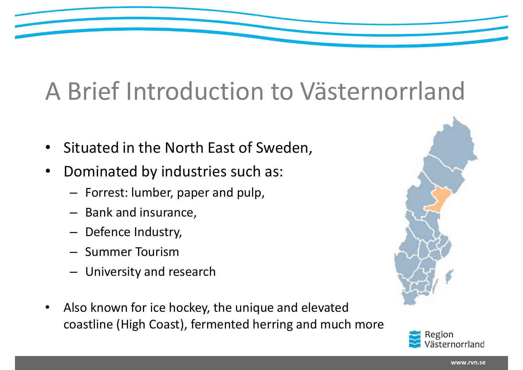# A Brief Introduction to Västernorrland

- Situated in the North East of Sweden,
- Dominated by industries such as:
	- Forrest: lumber, paper and pulp,
	- Bank and insurance,
	- Defence Industry,
	- Summer Tourism
	- University and research
- Also known for ice hockey, the unique and elevated coastline (High Coast), fermented herring and much more



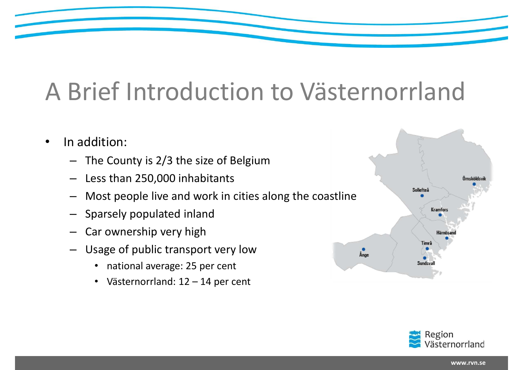# A Brief Introduction to Västernorrland

- In addition:
	- The County is 2/3 the size of Belgium
	- Less than 250,000 inhabitants
	- Most people live and work in cities along the coastline
	- Sparsely populated inland
	- Car ownership very high
	- Usage of public transport very low
		- national average: 25 per cent
		-



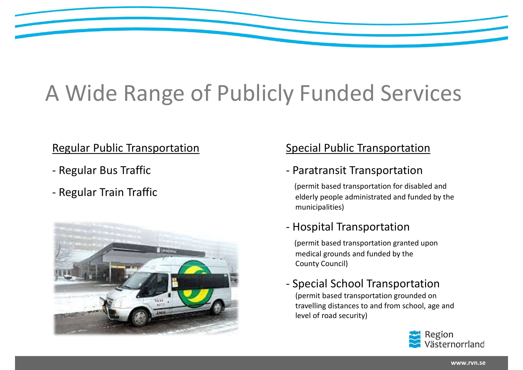## A Wide Range of Publicly Funded Services **4 Wide Range of Publ<br>
Regular Public Transportation<br>- Regular Bus Traffic<br>- Regular Train Traffic 4 Wide Range of Publ<br>
Regular Public Transportation<br>- Regular Bus Traffic<br>- Regular Train Traffic** Special Public Transportation<br>
Special Public Transportation<br>
- Paratransit Transportation<br>
(permit based transportation for disabled and<br>
elderly people administrated and funded by the<br>
municipalities) **y Funded Services**<br>
Special Public Transportation<br>
- Paratransit Transportation<br>
(permit based transportation for disabled and<br>
elderly people administrated and funded by the<br>
municipalities)<br>
- Hospital Transportation<br>
(

### Regular Public Transportation

- 
- 



### Special Public Transportation

(permit based transportation for disabled and elderly people administrated and funded by the municipalities)

(permit based transportation granted upon medical grounds and funded by the County Council)

## Special Public Transportation<br>
- Paratransit Transportation<br>
(permit based transportation for disabled and<br>
elderly people administrated and funded by the<br>
municipalities)<br>
- Hospital Transportation<br>
(permit based transpor (permit based transportation grounded on travelling distances to and from school, age and level of road security)

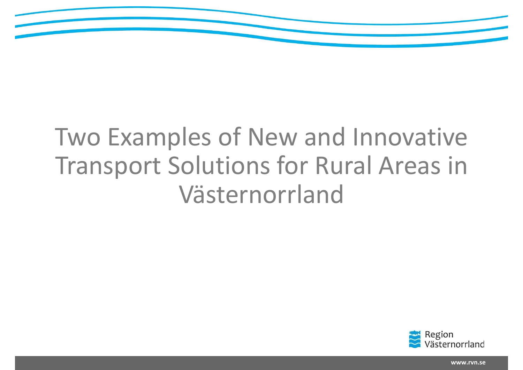

## Two Examples of New and Innovative<br>Transport Solutions for Rural Areas in Transport Solutions for Rural Areas in Västernorrland



www.rvn.se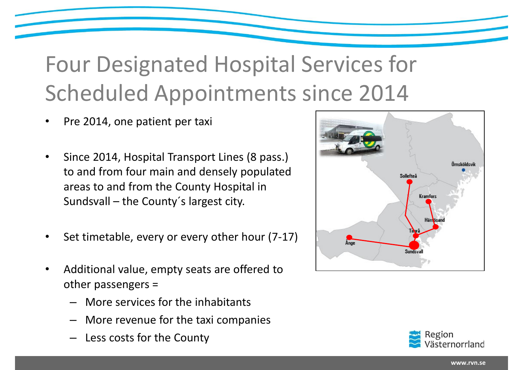## Four Designated Hospital Services for Scheduled Appointments since 2014 OUT Designated Hospital Se<br>
Sheduled Appointments simple 2014, one patient per taxi<br>
Since 2014, Hospital Transport Lines (8 pass.)<br>
to and from four main and densely populated<br>
areas to and from the County Hospital in<br>
Su

- Pre 2014, one patient per taxi
- Since 2014, Hospital Transport Lines (8 pass.) to and from four main and densely populated areas to and from the County Hospital in
- Set timetable, every or every other hour  $(7-17)$
- Additional value, empty seats are offered to other passengers =
	- More services for the inhabitants
	- More revenue for the taxi companies
	- Less costs for the County



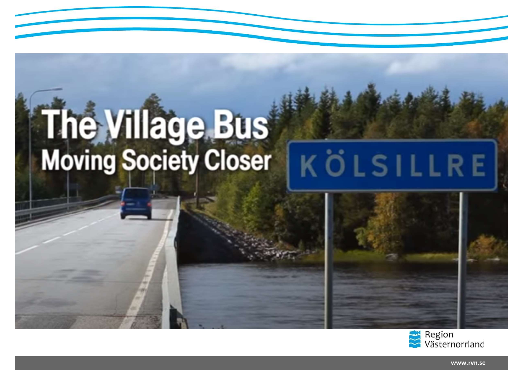### **The Village Bus<br>Moving Society Closer** KÖLSILLRE



www.rvn.se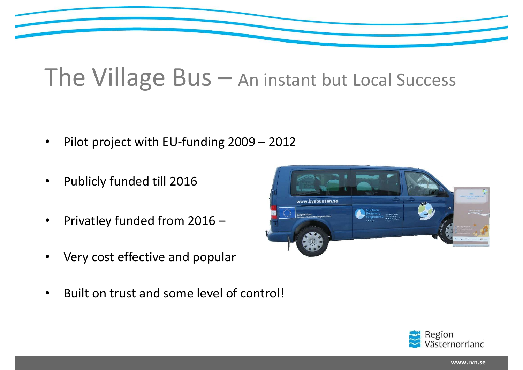

## The Village Bus - An instant but Local Success The Village Bus – An instant but I<br>• Pilot project with EU-funding 2009 – 2012<br>• Publicly funded till 2016<br>• Privatley funded from 2016 –

- 
- 
- 
- 
- 



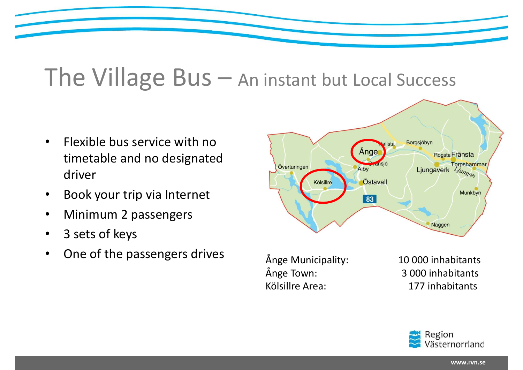### The Village Bus - An instant but Local Success

- driver
- 
- Minimum 2 passengers
- 
- 



Ånge Municipality: 10 000 inhabitants Ånge Town: 3 000 inhabitants